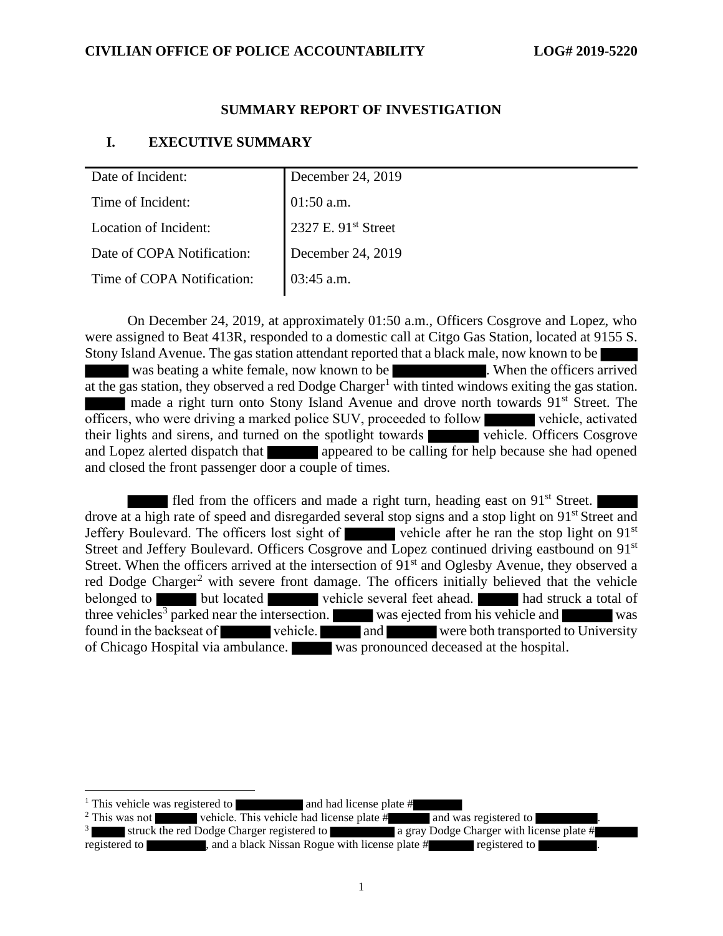## **SUMMARY REPORT OF INVESTIGATION**

## **I. EXECUTIVE SUMMARY**

| Date of Incident:          | December 24, 2019   |
|----------------------------|---------------------|
| Time of Incident:          | 01:50 a.m.          |
| Location of Incident:      | 2327 E. 91st Street |
| Date of COPA Notification: | December 24, 2019   |
| Time of COPA Notification: | $03:45$ a.m.        |

On December 24, 2019, at approximately 01:50 a.m., Officers Cosgrove and Lopez, who were assigned to Beat 413R, responded to a domestic call at Citgo Gas Station, located at 9155 S. Stony Island Avenue. The gas station attendant reported that a black male, now known to be was beating a white female, now known to be . When the officers arrived at the gas station, they observed a red Dodge Charger<sup>1</sup> with tinted windows exiting the gas station. made a right turn onto Stony Island Avenue and drove north towards  $91<sup>st</sup>$  Street. The officers, who were driving a marked police SUV, proceeded to follow vehicle, activated their lights and sirens, and turned on the spotlight towards vehicle. Officers Cosgrove and Lopez alerted dispatch that appeared to be calling for help because she had opened and closed the front passenger door a couple of times.

fled from the officers and made a right turn, heading east on 91<sup>st</sup> Street. drove at a high rate of speed and disregarded several stop signs and a stop light on 91<sup>st</sup> Street and Jeffery Boulevard. The officers lost sight of vehicle after he ran the stop light on  $91<sup>st</sup>$ Street and Jeffery Boulevard. Officers Cosgrove and Lopez continued driving eastbound on 91<sup>st</sup> Street. When the officers arrived at the intersection of  $91<sup>st</sup>$  and Oglesby Avenue, they observed a red Dodge Charger<sup>2</sup> with severe front damage. The officers initially believed that the vehicle belonged to but located vehicle several feet ahead. had struck a total of three vehicles<sup>3</sup> parked near the intersection. was ejected from his vehicle and was found in the backseat of vehicle. The vert of the vert both transported to University of Chicago Hospital via ambulance. was pronounced deceased at the hospital.

<sup>&</sup>lt;sup>1</sup> This vehicle was registered to and had license plate  $#$ 

<sup>&</sup>lt;sup>2</sup> This was not vehicle. This vehicle had license plate  $\hat{H}$  and was registered to

<sup>3</sup> struck the red Dodge Charger registered to a gray Dodge Charger with license plate # registered to **a contract to the contract a** registered to . and a black Nissan Rogue with license plate # **registered** to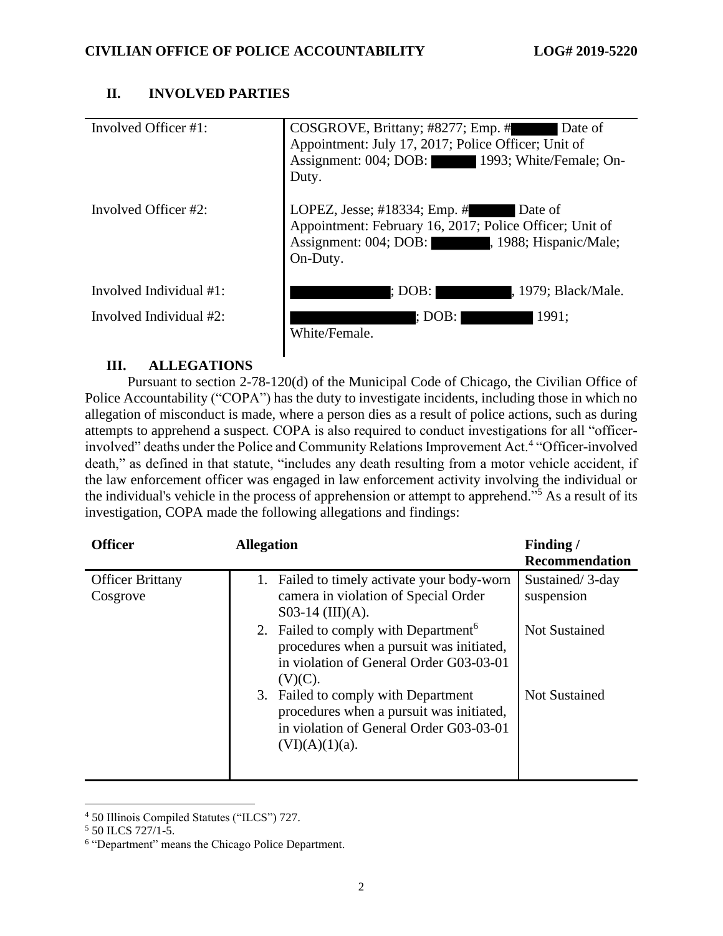## **II. INVOLVED PARTIES**

| Involved Officer #1:    | COSGROVE, Brittany; #8277; Emp. #<br>Date of<br>Appointment: July 17, 2017; Police Officer; Unit of<br>Assignment: 004; DOB: 1993; White/Female; On-<br>Duty.  |
|-------------------------|----------------------------------------------------------------------------------------------------------------------------------------------------------------|
| Involved Officer #2:    | LOPEZ, Jesse; #18334; Emp. #<br>Date of<br>Appointment: February 16, 2017; Police Officer; Unit of<br>Assignment: 004; DOB: , 1988; Hispanic/Male;<br>On-Duty. |
| Involved Individual #1: | : DOB: I<br>, 1979; Black/Male.                                                                                                                                |
| Involved Individual #2: | : DOB:  <br>1991:<br>White/Female.                                                                                                                             |

## **III. ALLEGATIONS**

Pursuant to section 2-78-120(d) of the Municipal Code of Chicago, the Civilian Office of Police Accountability ("COPA") has the duty to investigate incidents, including those in which no allegation of misconduct is made, where a person dies as a result of police actions, such as during attempts to apprehend a suspect. COPA is also required to conduct investigations for all "officerinvolved" deaths under the Police and Community Relations Improvement Act.<sup>4</sup> "Officer-involved death," as defined in that statute, "includes any death resulting from a motor vehicle accident, if the law enforcement officer was engaged in law enforcement activity involving the individual or the individual's vehicle in the process of apprehension or attempt to apprehend."<sup>5</sup> As a result of its investigation, COPA made the following allegations and findings:

| <b>Officer</b>                      | <b>Allegation</b>                                                                                                                                     | Finding/<br>Recommendation    |
|-------------------------------------|-------------------------------------------------------------------------------------------------------------------------------------------------------|-------------------------------|
| <b>Officer Brittany</b><br>Cosgrove | 1. Failed to timely activate your body-worn<br>camera in violation of Special Order<br>$S$ 03-14 (III)(A).                                            | Sustained/3-day<br>suspension |
|                                     | 2. Failed to comply with Department <sup>6</sup><br>procedures when a pursuit was initiated,<br>in violation of General Order G03-03-01<br>$(V)(C)$ . | <b>Not Sustained</b>          |
|                                     | 3. Failed to comply with Department<br>procedures when a pursuit was initiated,<br>in violation of General Order G03-03-01<br>$(VI)(A)(1)(a)$ .       | <b>Not Sustained</b>          |

<sup>4</sup> 50 Illinois Compiled Statutes ("ILCS") 727.

<sup>5</sup> 50 ILCS 727/1-5.

<sup>6</sup> "Department" means the Chicago Police Department.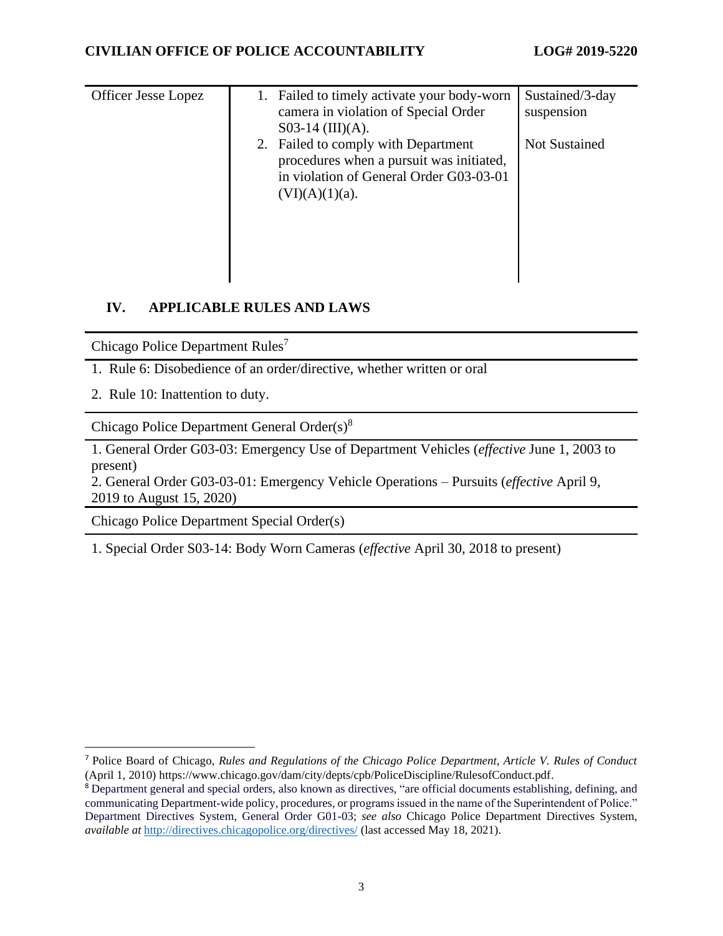| <b>Officer Jesse Lopez</b> | Failed to timely activate your body-worn | Sustained/3-day      |
|----------------------------|------------------------------------------|----------------------|
|                            |                                          |                      |
|                            | camera in violation of Special Order     | suspension           |
|                            | $S$ 03-14 (III)(A).                      |                      |
|                            | 2. Failed to comply with Department      | <b>Not Sustained</b> |
|                            | procedures when a pursuit was initiated, |                      |
|                            | in violation of General Order G03-03-01  |                      |
|                            |                                          |                      |
|                            | $(VI)(A)(1)(a)$ .                        |                      |
|                            |                                          |                      |
|                            |                                          |                      |
|                            |                                          |                      |
|                            |                                          |                      |
|                            |                                          |                      |
|                            |                                          |                      |

## **IV. APPLICABLE RULES AND LAWS**

Chicago Police Department Rules<sup>7</sup>

- 1. Rule 6: Disobedience of an order/directive, whether written or oral
- 2. Rule 10: Inattention to duty.

Chicago Police Department General Order(s)<sup>8</sup>

1. General Order G03-03: Emergency Use of Department Vehicles (*effective* June 1, 2003 to present)

2. General Order G03-03-01: Emergency Vehicle Operations – Pursuits (*effective* April 9, 2019 to August 15, 2020)

Chicago Police Department Special Order(s)

1. Special Order S03-14: Body Worn Cameras (*effective* April 30, 2018 to present)

<sup>7</sup> Police Board of Chicago, *Rules and Regulations of the Chicago Police Department, Article V. Rules of Conduct* (April 1, 2010) https://www.chicago.gov/dam/city/depts/cpb/PoliceDiscipline/RulesofConduct.pdf.

<sup>8</sup> Department general and special orders, also known as directives, "are official documents establishing, defining, and communicating Department-wide policy, procedures, or programs issued in the name of the Superintendent of Police." Department Directives System, General Order G01-03; *see also* Chicago Police Department Directives System, *available at* <http://directives.chicagopolice.org/directives/> (last accessed May 18, 2021).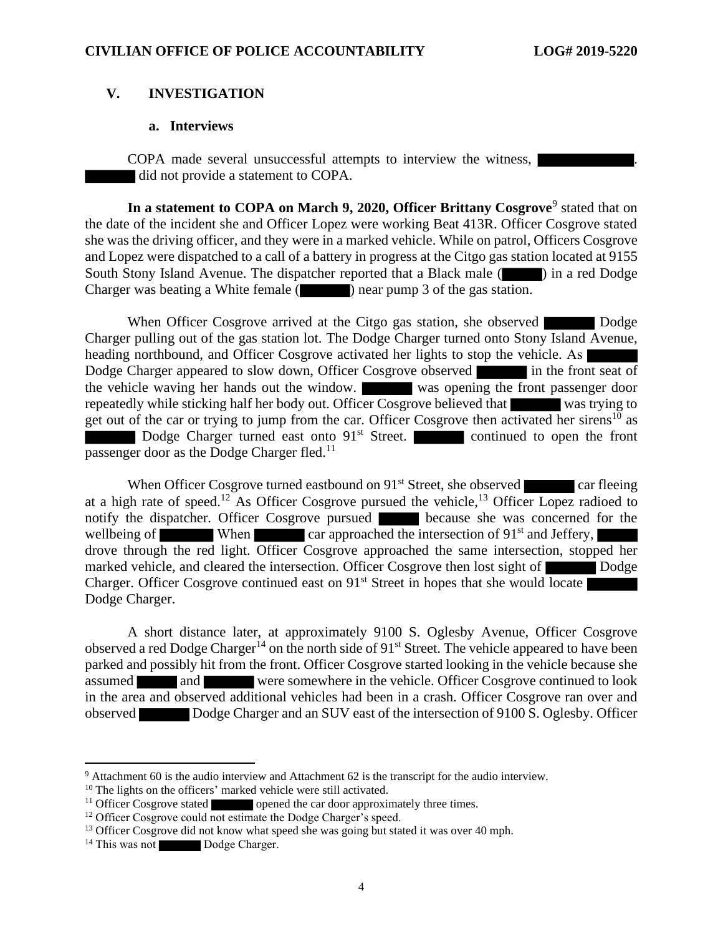## **V. INVESTIGATION**

#### **a. Interviews**

COPA made several unsuccessful attempts to interview the witness, did not provide a statement to COPA.

In a statement to COPA on March 9, 2020, Officer Brittany Cosgrove<sup>9</sup> stated that on the date of the incident she and Officer Lopez were working Beat 413R. Officer Cosgrove stated she was the driving officer, and they were in a marked vehicle. While on patrol, Officers Cosgrove and Lopez were dispatched to a call of a battery in progress at the Citgo gas station located at 9155 South Stony Island Avenue. The dispatcher reported that a Black male (**in a**) in a red Dodge Charger was beating a White female (**)** near pump 3 of the gas station.

When Officer Cosgrove arrived at the Citgo gas station, she observed Dodge Charger pulling out of the gas station lot. The Dodge Charger turned onto Stony Island Avenue, heading northbound, and Officer Cosgrove activated her lights to stop the vehicle. As Dodge Charger appeared to slow down, Officer Cosgrove observed in the front seat of the vehicle waving her hands out the window. was opening the front passenger door repeatedly while sticking half her body out. Officer Cosgrove believed that was trying to get out of the car or trying to jump from the car. Officer Cosgrove then activated her sirens<sup>10</sup> as Dodge Charger turned east onto 91<sup>st</sup> Street. continued to open the front passenger door as the Dodge Charger fled.<sup>11</sup>

When Officer Cosgrove turned eastbound on  $91<sup>st</sup>$  Street, she observed car fleeing at a high rate of speed.<sup>12</sup> As Officer Cosgrove pursued the vehicle,<sup>13</sup> Officer Lopez radioed to notify the dispatcher. Officer Cosgrove pursued because she was concerned for the wellbeing of When car approached the intersection of  $91<sup>st</sup>$  and Jeffery, drove through the red light. Officer Cosgrove approached the same intersection, stopped her marked vehicle, and cleared the intersection. Officer Cosgrove then lost sight of Dodge Charger. Officer Cosgrove continued east on  $91<sup>st</sup>$  Street in hopes that she would locate Dodge Charger.

A short distance later, at approximately 9100 S. Oglesby Avenue, Officer Cosgrove observed a red Dodge Charger<sup>14</sup> on the north side of  $91<sup>st</sup>$  Street. The vehicle appeared to have been parked and possibly hit from the front. Officer Cosgrove started looking in the vehicle because she assumed and were somewhere in the vehicle. Officer Cosgrove continued to look in the area and observed additional vehicles had been in a crash. Officer Cosgrove ran over and observed Dodge Charger and an SUV east of the intersection of 9100 S. Oglesby. Officer

<sup>9</sup> Attachment 60 is the audio interview and Attachment 62 is the transcript for the audio interview.

<sup>&</sup>lt;sup>10</sup> The lights on the officers' marked vehicle were still activated.

<sup>&</sup>lt;sup>11</sup> Officer Cosgrove stated opened the car door approximately three times.

<sup>&</sup>lt;sup>12</sup> Officer Cosgrove could not estimate the Dodge Charger's speed.

<sup>&</sup>lt;sup>13</sup> Officer Cosgrove did not know what speed she was going but stated it was over 40 mph.

<sup>&</sup>lt;sup>14</sup> This was not Dodge Charger.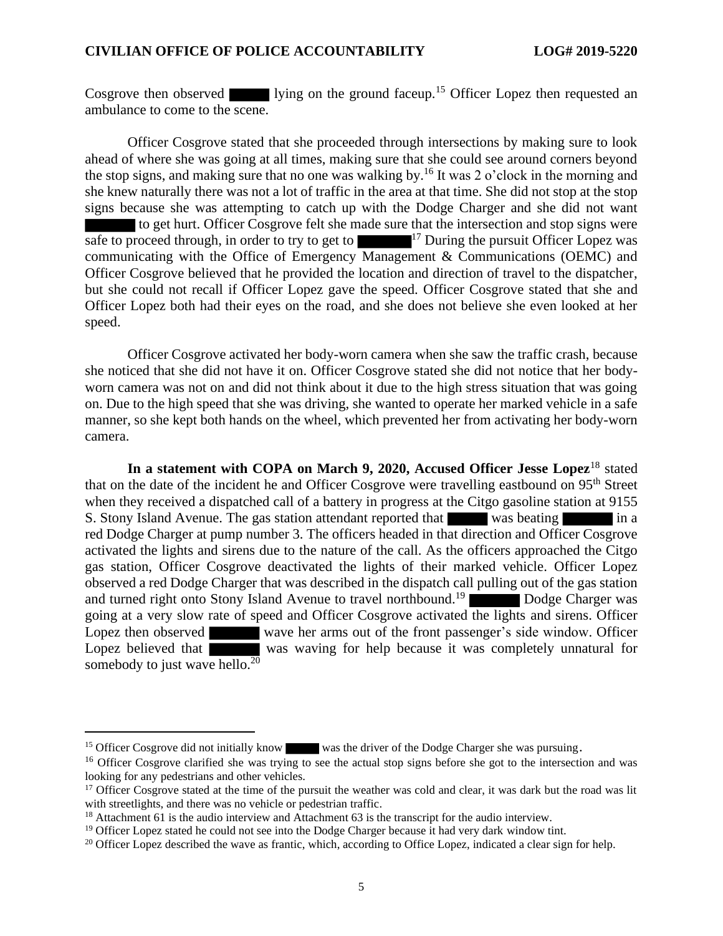Cosgrove then observed lying on the ground faceup.<sup>15</sup> Officer Lopez then requested an ambulance to come to the scene.

Officer Cosgrove stated that she proceeded through intersections by making sure to look ahead of where she was going at all times, making sure that she could see around corners beyond the stop signs, and making sure that no one was walking by.<sup>16</sup> It was 2 o'clock in the morning and she knew naturally there was not a lot of traffic in the area at that time. She did not stop at the stop signs because she was attempting to catch up with the Dodge Charger and she did not want to get hurt. Officer Cosgrove felt she made sure that the intersection and stop signs were safe to proceed through, in order to try to get to  $17$  During the pursuit Officer Lopez was communicating with the Office of Emergency Management & Communications (OEMC) and Officer Cosgrove believed that he provided the location and direction of travel to the dispatcher, but she could not recall if Officer Lopez gave the speed. Officer Cosgrove stated that she and Officer Lopez both had their eyes on the road, and she does not believe she even looked at her speed.

Officer Cosgrove activated her body-worn camera when she saw the traffic crash, because she noticed that she did not have it on. Officer Cosgrove stated she did not notice that her bodyworn camera was not on and did not think about it due to the high stress situation that was going on. Due to the high speed that she was driving, she wanted to operate her marked vehicle in a safe manner, so she kept both hands on the wheel, which prevented her from activating her body-worn camera.

**In a statement with COPA on March 9, 2020, Accused Officer Jesse Lopez**<sup>18</sup> stated that on the date of the incident he and Officer Cosgrove were travelling eastbound on 95<sup>th</sup> Street when they received a dispatched call of a battery in progress at the Citgo gasoline station at 9155 S. Stony Island Avenue. The gas station attendant reported that was beating in a red Dodge Charger at pump number 3. The officers headed in that direction and Officer Cosgrove activated the lights and sirens due to the nature of the call. As the officers approached the Citgo gas station, Officer Cosgrove deactivated the lights of their marked vehicle. Officer Lopez observed a red Dodge Charger that was described in the dispatch call pulling out of the gas station and turned right onto Stony Island Avenue to travel northbound.<sup>19</sup> Dodge Charger was going at a very slow rate of speed and Officer Cosgrove activated the lights and sirens. Officer Lopez then observed wave her arms out of the front passenger's side window. Officer Lopez believed that was waving for help because it was completely unnatural for somebody to just wave hello. $20$ 

<sup>&</sup>lt;sup>15</sup> Officer Cosgrove did not initially know was the driver of the Dodge Charger she was pursuing.

<sup>&</sup>lt;sup>16</sup> Officer Cosgrove clarified she was trying to see the actual stop signs before she got to the intersection and was looking for any pedestrians and other vehicles.

 $17$  Officer Cosgrove stated at the time of the pursuit the weather was cold and clear, it was dark but the road was lit with streetlights, and there was no vehicle or pedestrian traffic.

<sup>&</sup>lt;sup>18</sup> Attachment 61 is the audio interview and Attachment 63 is the transcript for the audio interview.

<sup>&</sup>lt;sup>19</sup> Officer Lopez stated he could not see into the Dodge Charger because it had very dark window tint.

<sup>&</sup>lt;sup>20</sup> Officer Lopez described the wave as frantic, which, according to Office Lopez, indicated a clear sign for help.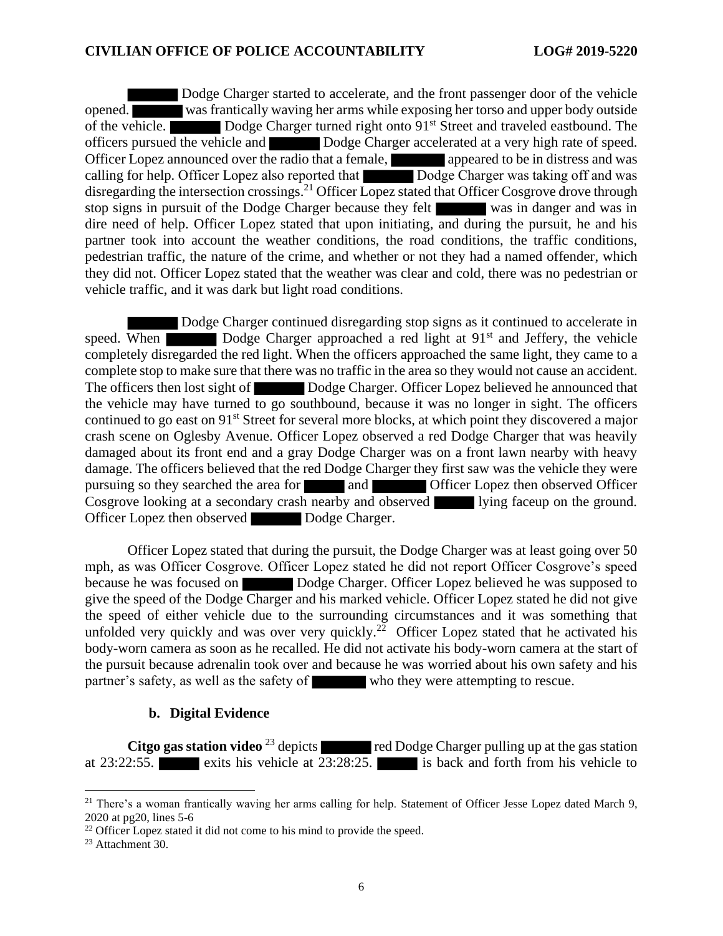Dodge Charger started to accelerate, and the front passenger door of the vehicle opened. was frantically waving her arms while exposing her torso and upper body outside of the vehicle. Dodge Charger turned right onto 91<sup>st</sup> Street and traveled eastbound. The officers pursued the vehicle and Dodge Charger accelerated at a very high rate of speed. Officer Lopez announced over the radio that a female, appeared to be in distress and was calling for help. Officer Lopez also reported that Dodge Charger was taking off and was disregarding the intersection crossings.<sup>21</sup> Officer Lopez stated that Officer Cosgrove drove through stop signs in pursuit of the Dodge Charger because they felt was in danger and was in dire need of help. Officer Lopez stated that upon initiating, and during the pursuit, he and his partner took into account the weather conditions, the road conditions, the traffic conditions, pedestrian traffic, the nature of the crime, and whether or not they had a named offender, which they did not. Officer Lopez stated that the weather was clear and cold, there was no pedestrian or vehicle traffic, and it was dark but light road conditions.

Dodge Charger continued disregarding stop signs as it continued to accelerate in speed. When Dodge Charger approached a red light at  $91<sup>st</sup>$  and Jeffery, the vehicle completely disregarded the red light. When the officers approached the same light, they came to a complete stop to make sure that there was no traffic in the area so they would not cause an accident. The officers then lost sight of Dodge Charger. Officer Lopez believed he announced that the vehicle may have turned to go southbound, because it was no longer in sight. The officers continued to go east on 91<sup>st</sup> Street for several more blocks, at which point they discovered a major crash scene on Oglesby Avenue. Officer Lopez observed a red Dodge Charger that was heavily damaged about its front end and a gray Dodge Charger was on a front lawn nearby with heavy damage. The officers believed that the red Dodge Charger they first saw was the vehicle they were pursuing so they searched the area for and **Officer Lopez** then observed Officer Cosgrove looking at a secondary crash nearby and observed lying faceup on the ground. Officer Lopez then observed Dodge Charger.

Officer Lopez stated that during the pursuit, the Dodge Charger was at least going over 50 mph, as was Officer Cosgrove. Officer Lopez stated he did not report Officer Cosgrove's speed because he was focused on Dodge Charger. Officer Lopez believed he was supposed to give the speed of the Dodge Charger and his marked vehicle. Officer Lopez stated he did not give the speed of either vehicle due to the surrounding circumstances and it was something that unfolded very quickly and was over very quickly.<sup>22</sup> Officer Lopez stated that he activated his body-worn camera as soon as he recalled. He did not activate his body-worn camera at the start of the pursuit because adrenalin took over and because he was worried about his own safety and his partner's safety, as well as the safety of who they were attempting to rescue.

## **b. Digital Evidence**

**Citgo gas station video** <sup>23</sup> depicts red Dodge Charger pulling up at the gas station at 23:22:55. exits his vehicle at 23:28:25. is back and forth from his vehicle to

<sup>23</sup> Attachment 30.

 $21$  There's a woman frantically waving her arms calling for help. Statement of Officer Jesse Lopez dated March 9, 2020 at pg20, lines 5-6

 $22$  Officer Lopez stated it did not come to his mind to provide the speed.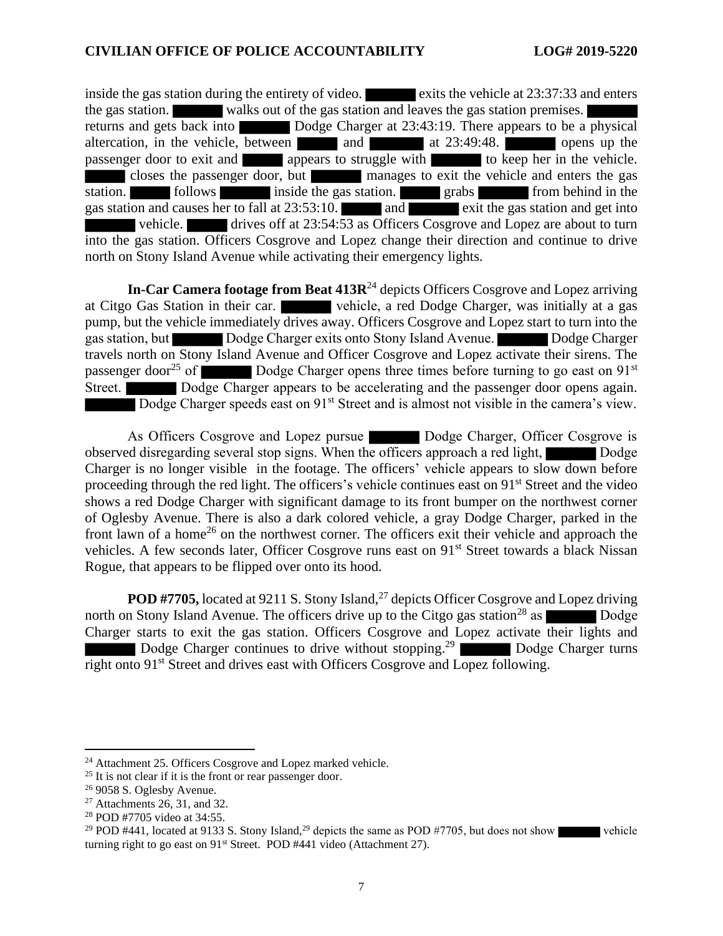inside the gas station during the entirety of video.  $\blacksquare$  exits the vehicle at 23:37:33 and enters the gas station. walks out of the gas station and leaves the gas station premises. returns and gets back into Dodge Charger at 23:43:19. There appears to be a physical altercation, in the vehicle, between and at 23:49:48. passenger door to exit and appears to struggle with to keep her in the vehicle. closes the passenger door, but manages to exit the vehicle and enters the gas station. Follows inside the gas station. grabs from behind in the gas station and causes her to fall at  $23:53:10$ . and exit the gas station and get into vehicle. drives off at 23:54:53 as Officers Cosgrove and Lopez are about to turn into the gas station. Officers Cosgrove and Lopez change their direction and continue to drive north on Stony Island Avenue while activating their emergency lights.

**In-Car Camera footage from Beat 413R**<sup>24</sup> depicts Officers Cosgrove and Lopez arriving at Citgo Gas Station in their car. vehicle, a red Dodge Charger, was initially at a gas pump, but the vehicle immediately drives away. Officers Cosgrove and Lopez start to turn into the gas station, but Dodge Charger exits onto Stony Island Avenue. Dodge Charger travels north on Stony Island Avenue and Officer Cosgrove and Lopez activate their sirens. The passenger door<sup>25</sup> of Dodge Charger opens three times before turning to go east on 91<sup>st</sup> Street. Dodge Charger appears to be accelerating and the passenger door opens again. Dodge Charger speeds east on 91<sup>st</sup> Street and is almost not visible in the camera's view.

As Officers Cosgrove and Lopez pursue Dodge Charger, Officer Cosgrove is observed disregarding several stop signs. When the officers approach a red light, Dodge Charger is no longer visible in the footage. The officers' vehicle appears to slow down before proceeding through the red light. The officers's vehicle continues east on 91st Street and the video shows a red Dodge Charger with significant damage to its front bumper on the northwest corner of Oglesby Avenue. There is also a dark colored vehicle, a gray Dodge Charger, parked in the front lawn of a home<sup>26</sup> on the northwest corner. The officers exit their vehicle and approach the vehicles. A few seconds later, Officer Cosgrove runs east on 91<sup>st</sup> Street towards a black Nissan Rogue, that appears to be flipped over onto its hood.

**POD #7705,** located at 9211 S. Stony Island,<sup>27</sup> depicts Officer Cosgrove and Lopez driving north on Stony Island Avenue. The officers drive up to the Citgo gas station<sup>28</sup> as Dodge Charger starts to exit the gas station. Officers Cosgrove and Lopez activate their lights and Dodge Charger continues to drive without stopping.<sup>29</sup> Dodge Charger turns right onto 91<sup>st</sup> Street and drives east with Officers Cosgrove and Lopez following.

<sup>29</sup> POD #441, located at 9133 S. Stony Island,<sup>29</sup> depicts the same as POD #7705, but does not show vehicle turning right to go east on 91<sup>st</sup> Street. POD #441 video (Attachment 27).

<sup>&</sup>lt;sup>24</sup> Attachment 25. Officers Cosgrove and Lopez marked vehicle.

 $25$  It is not clear if it is the front or rear passenger door.

<sup>26</sup> 9058 S. Oglesby Avenue.

 $27$  Attachments 26, 31, and 32.

<sup>28</sup> POD #7705 video at 34:55.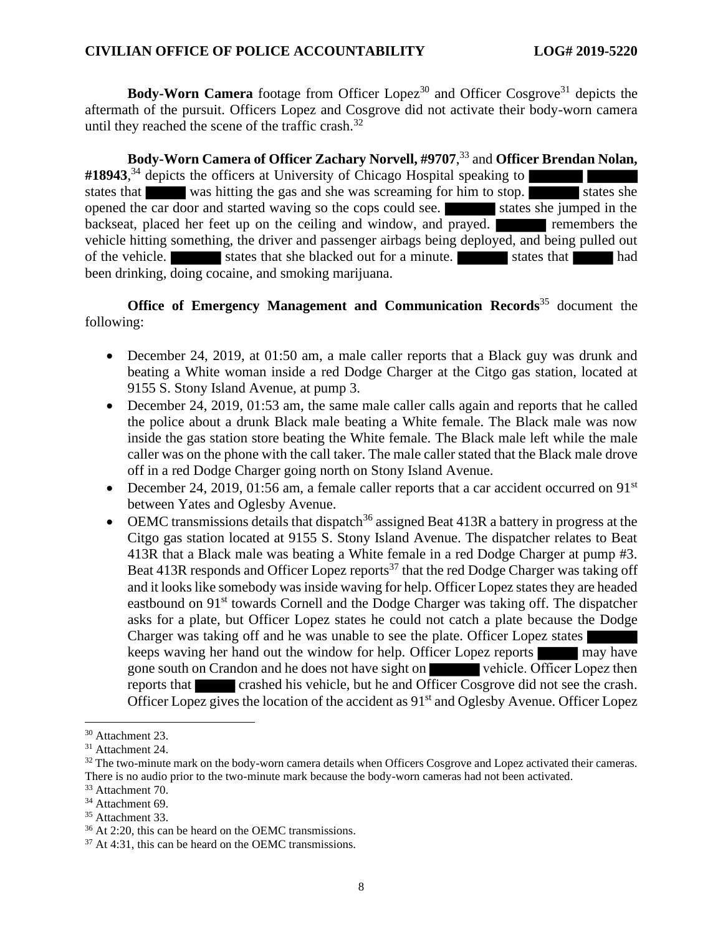**Body-Worn Camera** footage from Officer Lopez<sup>30</sup> and Officer Cosgrove<sup>31</sup> depicts the aftermath of the pursuit. Officers Lopez and Cosgrove did not activate their body-worn camera until they reached the scene of the traffic crash. $32$ 

**Body-Worn Camera of Officer Zachary Norvell, #9707**, <sup>33</sup> and **Officer Brendan Nolan, #18943**, <sup>34</sup> depicts the officers at University of Chicago Hospital speaking to states that was hitting the gas and she was screaming for him to stop. States she opened the car door and started waving so the cops could see. States she jumped in the backseat, placed her feet up on the ceiling and window, and prayed. **The example in the example of the set of the set of the set of the set of the set of the set of the set of the set of the set of the set of the set of th** vehicle hitting something, the driver and passenger airbags being deployed, and being pulled out of the vehicle. States that she blacked out for a minute. States that had been drinking, doing cocaine, and smoking marijuana.

**Office of Emergency Management and Communication Records**<sup>35</sup> document the following:

- December 24, 2019, at 01:50 am, a male caller reports that a Black guy was drunk and beating a White woman inside a red Dodge Charger at the Citgo gas station, located at 9155 S. Stony Island Avenue, at pump 3.
- December 24, 2019, 01:53 am, the same male caller calls again and reports that he called the police about a drunk Black male beating a White female. The Black male was now inside the gas station store beating the White female. The Black male left while the male caller was on the phone with the call taker. The male caller stated that the Black male drove off in a red Dodge Charger going north on Stony Island Avenue.
- December 24, 2019, 01:56 am, a female caller reports that a car accident occurred on  $91<sup>st</sup>$ between Yates and Oglesby Avenue.
- OEMC transmissions details that dispatch<sup>36</sup> assigned Beat 413R a battery in progress at the Citgo gas station located at 9155 S. Stony Island Avenue. The dispatcher relates to Beat 413R that a Black male was beating a White female in a red Dodge Charger at pump #3. Beat 413R responds and Officer Lopez reports<sup>37</sup> that the red Dodge Charger was taking off and it looks like somebody was inside waving for help. Officer Lopez states they are headed eastbound on  $91<sup>st</sup>$  towards Cornell and the Dodge Charger was taking off. The dispatcher asks for a plate, but Officer Lopez states he could not catch a plate because the Dodge Charger was taking off and he was unable to see the plate. Officer Lopez states keeps waving her hand out the window for help. Officer Lopez reports may have gone south on Crandon and he does not have sight on vehicle. Officer Lopez then reports that crashed his vehicle, but he and Officer Cosgrove did not see the crash. Officer Lopez gives the location of the accident as 91<sup>st</sup> and Oglesby Avenue. Officer Lopez

<sup>30</sup> Attachment 23.

<sup>&</sup>lt;sup>31</sup> Attachment 24.

 $32$  The two-minute mark on the body-worn camera details when Officers Cosgrove and Lopez activated their cameras. There is no audio prior to the two-minute mark because the body-worn cameras had not been activated.

<sup>&</sup>lt;sup>33</sup> Attachment 70.

<sup>&</sup>lt;sup>34</sup> Attachment 69.

<sup>35</sup> Attachment 33.

<sup>36</sup> At 2:20, this can be heard on the OEMC transmissions.

<sup>37</sup> At 4:31, this can be heard on the OEMC transmissions.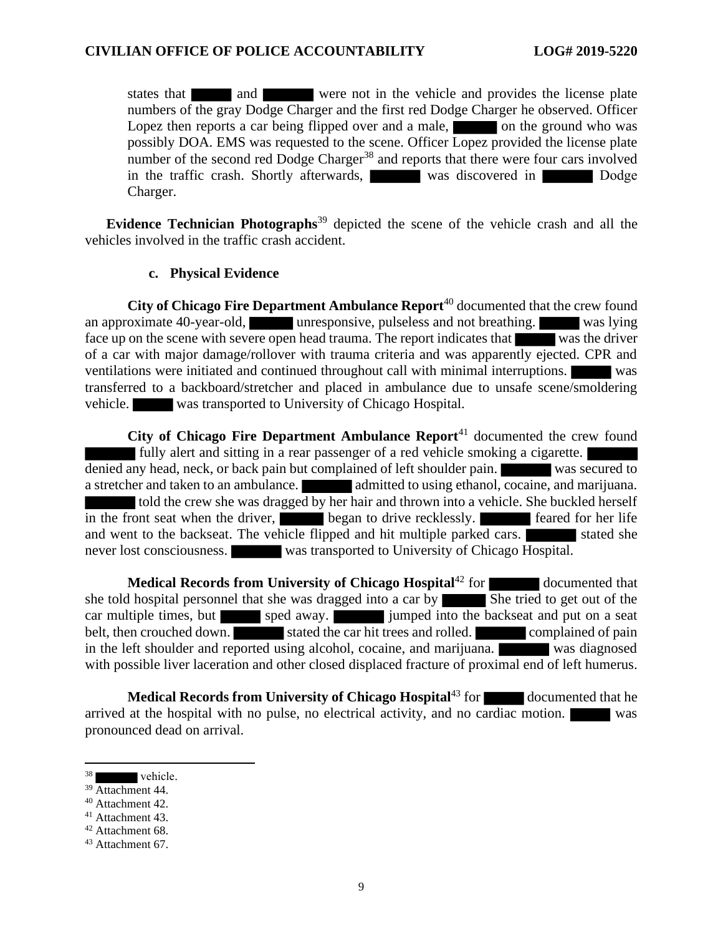states that and and were not in the vehicle and provides the license plate numbers of the gray Dodge Charger and the first red Dodge Charger he observed. Officer Lopez then reports a car being flipped over and a male,  $\Box$  on the ground who was possibly DOA. EMS was requested to the scene. Officer Lopez provided the license plate number of the second red Dodge Charger<sup>38</sup> and reports that there were four cars involved in the traffic crash. Shortly afterwards, was discovered in Dodge Dodge Charger.

**Evidence Technician Photographs**<sup>39</sup> depicted the scene of the vehicle crash and all the vehicles involved in the traffic crash accident.

## **c. Physical Evidence**

**City of Chicago Fire Department Ambulance Report**<sup>40</sup> documented that the crew found an approximate 40-year-old, unresponsive, pulseless and not breathing. was lying face up on the scene with severe open head trauma. The report indicates that was the driver of a car with major damage/rollover with trauma criteria and was apparently ejected. CPR and ventilations were initiated and continued throughout call with minimal interruptions. was transferred to a backboard/stretcher and placed in ambulance due to unsafe scene/smoldering vehicle. was transported to University of Chicago Hospital.

**City of Chicago Fire Department Ambulance Report**<sup>41</sup> documented the crew found fully alert and sitting in a rear passenger of a red vehicle smoking a cigarette. denied any head, neck, or back pain but complained of left shoulder pain. was secured to a stretcher and taken to an ambulance. **a** admitted to using ethanol, cocaine, and marijuana. told the crew she was dragged by her hair and thrown into a vehicle. She buckled herself in the front seat when the driver, began to drive recklessly. Feared for her life and went to the backseat. The vehicle flipped and hit multiple parked cars. never lost consciousness. was transported to University of Chicago Hospital.

**Medical Records from University of Chicago Hospital**<sup>42</sup> for documented that she told hospital personnel that she was dragged into a car by  $\overline{\phantom{a}}$  She tried to get out of the car multiple times, but sped away. jumped into the backseat and put on a seat belt, then crouched down. stated the car hit trees and rolled. complained of pain in the left shoulder and reported using alcohol, cocaine, and marijuana. was diagnosed with possible liver laceration and other closed displaced fracture of proximal end of left humerus.

**Medical Records from University of Chicago Hospital**<sup>43</sup> for documented that he arrived at the hospital with no pulse, no electrical activity, and no cardiac motion. was pronounced dead on arrival.

vehicle.

<sup>&</sup>lt;sup>39</sup> Attachment 44.

<sup>40</sup> Attachment 42.

<sup>41</sup> Attachment 43.

 $42$  Attachment 68.

<sup>43</sup> Attachment 67.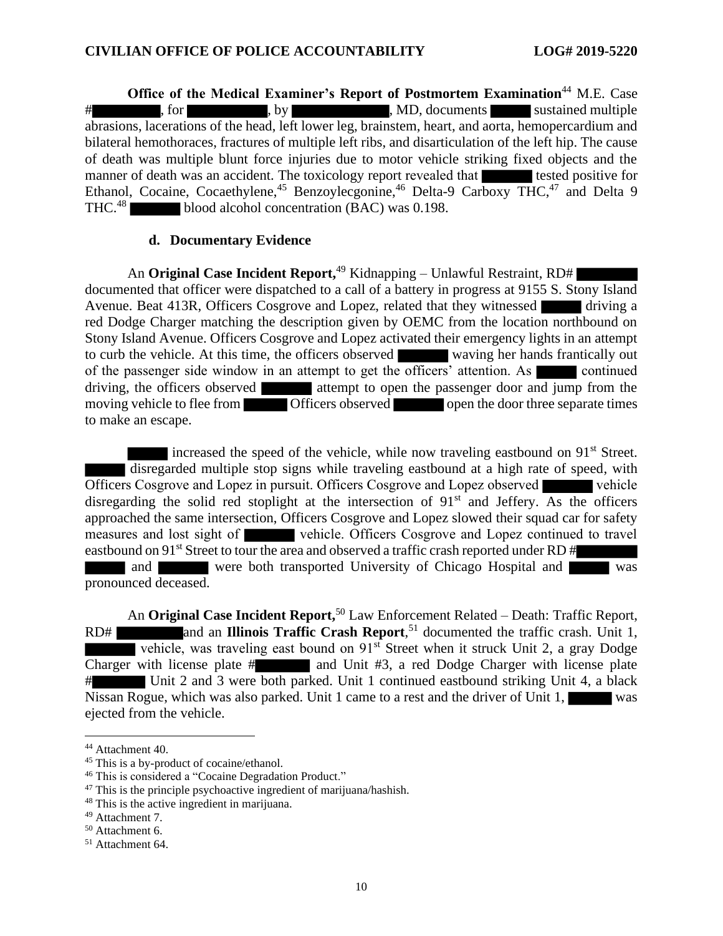**Office of the Medical Examiner's Report of Postmortem Examination**<sup>44</sup> M.E. Case # , for , by , by , MD, documents sustained multiple abrasions, lacerations of the head, left lower leg, brainstem, heart, and aorta, hemopercardium and bilateral hemothoraces, fractures of multiple left ribs, and disarticulation of the left hip. The cause of death was multiple blunt force injuries due to motor vehicle striking fixed objects and the manner of death was an accident. The toxicology report revealed that tested positive for Ethanol, Cocaine, Cocaethylene,<sup>45</sup> Benzoylecgonine,<sup>46</sup> Delta-9 Carboxy THC,<sup>47</sup> and Delta 9 THC.<sup>48</sup> blood alcohol concentration (BAC) was 0.198.

## **d. Documentary Evidence**

An **Original Case Incident Report,** <sup>49</sup> Kidnapping – Unlawful Restraint, RD# documented that officer were dispatched to a call of a battery in progress at 9155 S. Stony Island Avenue. Beat 413R, Officers Cosgrove and Lopez, related that they witnessed driving a red Dodge Charger matching the description given by OEMC from the location northbound on Stony Island Avenue. Officers Cosgrove and Lopez activated their emergency lights in an attempt to curb the vehicle. At this time, the officers observed waving her hands frantically out of the passenger side window in an attempt to get the officers' attention. As continued driving, the officers observed attempt to open the passenger door and jump from the moving vehicle to flee from **Officers** observed open the door three separate times to make an escape.

increased the speed of the vehicle, while now traveling eastbound on 91<sup>st</sup> Street. disregarded multiple stop signs while traveling eastbound at a high rate of speed, with Officers Cosgrove and Lopez in pursuit. Officers Cosgrove and Lopez observed vehicle disregarding the solid red stoplight at the intersection of  $91<sup>st</sup>$  and Jeffery. As the officers approached the same intersection, Officers Cosgrove and Lopez slowed their squad car for safety measures and lost sight of vehicle. Officers Cosgrove and Lopez continued to travel eastbound on 91<sup>st</sup> Street to tour the area and observed a traffic crash reported under RD # and were both transported University of Chicago Hospital and was pronounced deceased.

An **Original Case Incident Report,** <sup>50</sup> Law Enforcement Related – Death: Traffic Report, RD# and an **Illinois Traffic Crash Report**,<sup>51</sup> documented the traffic crash. Unit 1, vehicle, was traveling east bound on  $91<sup>st</sup>$  Street when it struck Unit 2, a gray Dodge Charger with license plate  $\#$  and Unit  $\#$ 3, a red Dodge Charger with license plate # Unit 2 and 3 were both parked. Unit 1 continued eastbound striking Unit 4, a black Nissan Rogue, which was also parked. Unit 1 came to a rest and the driver of Unit 1, ejected from the vehicle.

<sup>44</sup> Attachment 40.

<sup>&</sup>lt;sup>45</sup> This is a by-product of cocaine/ethanol.

<sup>46</sup> This is considered a "Cocaine Degradation Product."

<sup>47</sup> This is the principle psychoactive ingredient of marijuana/hashish.

<sup>48</sup> This is the active ingredient in marijuana.

<sup>49</sup> Attachment 7.

<sup>50</sup> Attachment 6.

<sup>51</sup> Attachment 64.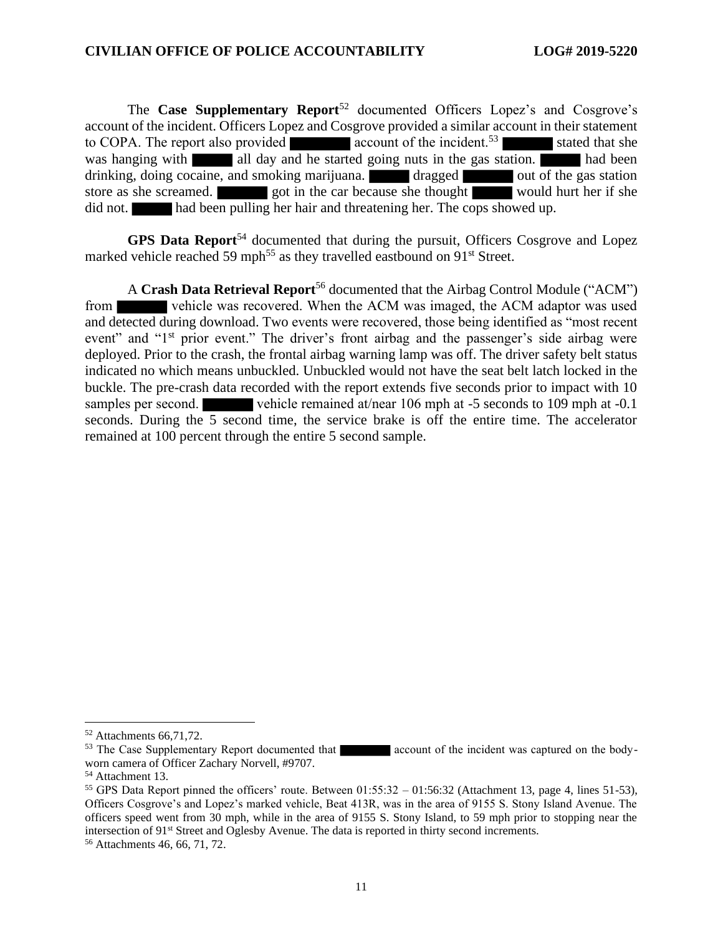The **Case Supplementary Report**<sup>52</sup> documented Officers Lopez's and Cosgrove's account of the incident. Officers Lopez and Cosgrove provided a similar account in their statement to COPA. The report also provided  $\blacksquare$  account of the incident.<sup>53</sup> stated that she was hanging with all day and he started going nuts in the gas station. had been drinking, doing cocaine, and smoking marijuana. **The dragged out of the gas station** store as she screamed. got in the car because she thought would hurt her if she did not. had been pulling her hair and threatening her. The cops showed up.

**GPS Data Report**<sup>54</sup> documented that during the pursuit, Officers Cosgrove and Lopez marked vehicle reached 59 mph<sup>55</sup> as they travelled eastbound on  $91<sup>st</sup>$  Street.

A **Crash Data Retrieval Report**<sup>56</sup> documented that the Airbag Control Module ("ACM") from vehicle was recovered. When the ACM was imaged, the ACM adaptor was used and detected during download. Two events were recovered, those being identified as "most recent event" and "1<sup>st</sup> prior event." The driver's front airbag and the passenger's side airbag were deployed. Prior to the crash, the frontal airbag warning lamp was off. The driver safety belt status indicated no which means unbuckled. Unbuckled would not have the seat belt latch locked in the buckle. The pre-crash data recorded with the report extends five seconds prior to impact with 10 samples per second. vehicle remained at/near 106 mph at -5 seconds to 109 mph at -0.1 seconds. During the 5 second time, the service brake is off the entire time. The accelerator remained at 100 percent through the entire 5 second sample.

<sup>52</sup> Attachments 66,71,72.

<sup>&</sup>lt;sup>53</sup> The Case Supplementary Report documented that account of the incident was captured on the bodyworn camera of Officer Zachary Norvell, #9707.

<sup>54</sup> Attachment 13.

<sup>&</sup>lt;sup>55</sup> GPS Data Report pinned the officers' route. Between  $01:55:32 - 01:56:32$  (Attachment 13, page 4, lines 51-53), Officers Cosgrove's and Lopez's marked vehicle, Beat 413R, was in the area of 9155 S. Stony Island Avenue. The officers speed went from 30 mph, while in the area of 9155 S. Stony Island, to 59 mph prior to stopping near the intersection of 91st Street and Oglesby Avenue. The data is reported in thirty second increments.

<sup>56</sup> Attachments 46, 66, 71, 72.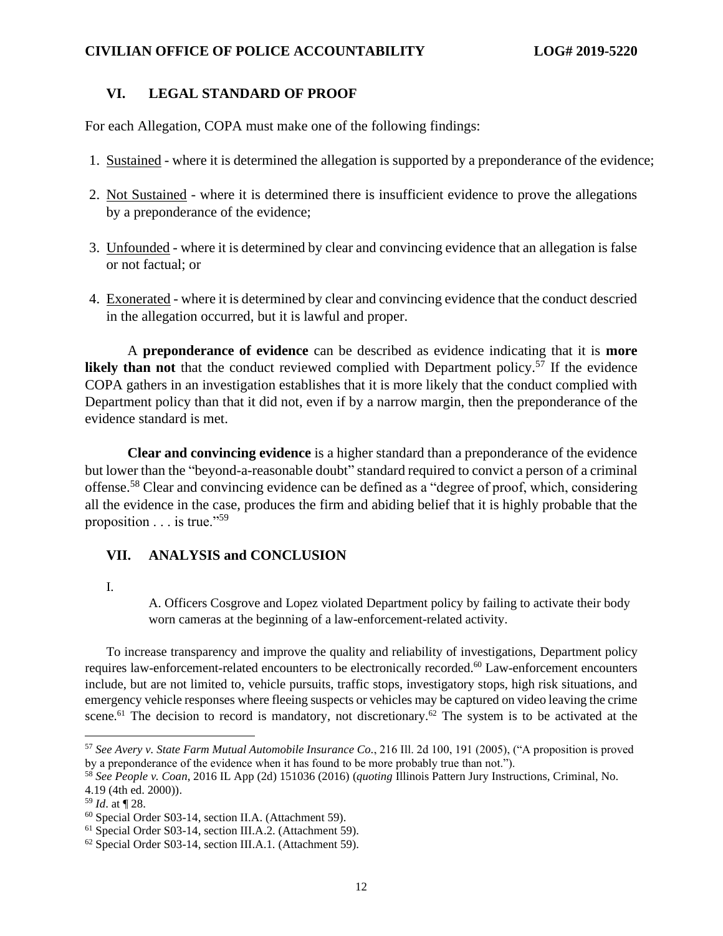## **VI. LEGAL STANDARD OF PROOF**

For each Allegation, COPA must make one of the following findings:

- 1. Sustained where it is determined the allegation is supported by a preponderance of the evidence;
- 2. Not Sustained where it is determined there is insufficient evidence to prove the allegations by a preponderance of the evidence;
- 3. Unfounded where it is determined by clear and convincing evidence that an allegation is false or not factual; or
- 4. Exonerated where it is determined by clear and convincing evidence that the conduct descried in the allegation occurred, but it is lawful and proper.

A **preponderance of evidence** can be described as evidence indicating that it is **more likely than not** that the conduct reviewed complied with Department policy.<sup>57</sup> If the evidence COPA gathers in an investigation establishes that it is more likely that the conduct complied with Department policy than that it did not, even if by a narrow margin, then the preponderance of the evidence standard is met.

**Clear and convincing evidence** is a higher standard than a preponderance of the evidence but lower than the "beyond-a-reasonable doubt" standard required to convict a person of a criminal offense.<sup>58</sup> Clear and convincing evidence can be defined as a "degree of proof, which, considering all the evidence in the case, produces the firm and abiding belief that it is highly probable that the proposition . . . is true."<sup>59</sup>

## **VII. ANALYSIS and CONCLUSION**

I.

A. Officers Cosgrove and Lopez violated Department policy by failing to activate their body worn cameras at the beginning of a law-enforcement-related activity.

To increase transparency and improve the quality and reliability of investigations, Department policy requires law-enforcement-related encounters to be electronically recorded.<sup>60</sup> Law-enforcement encounters include, but are not limited to, vehicle pursuits, traffic stops, investigatory stops, high risk situations, and emergency vehicle responses where fleeing suspects or vehicles may be captured on video leaving the crime scene.<sup>61</sup> The decision to record is mandatory, not discretionary.<sup>62</sup> The system is to be activated at the

<sup>57</sup> *See Avery v. State Farm Mutual Automobile Insurance Co.*, 216 Ill. 2d 100, 191 (2005), ("A proposition is proved by a preponderance of the evidence when it has found to be more probably true than not.").

<sup>58</sup> *See People v. Coan*, 2016 IL App (2d) 151036 (2016) (*quoting* Illinois Pattern Jury Instructions, Criminal, No. 4.19 (4th ed. 2000)).

<sup>59</sup> *Id*. at ¶ 28.

<sup>60</sup> Special Order S03-14, section II.A. (Attachment 59).

<sup>61</sup> Special Order S03-14, section III.A.2. (Attachment 59).

<sup>62</sup> Special Order S03-14, section III.A.1. (Attachment 59).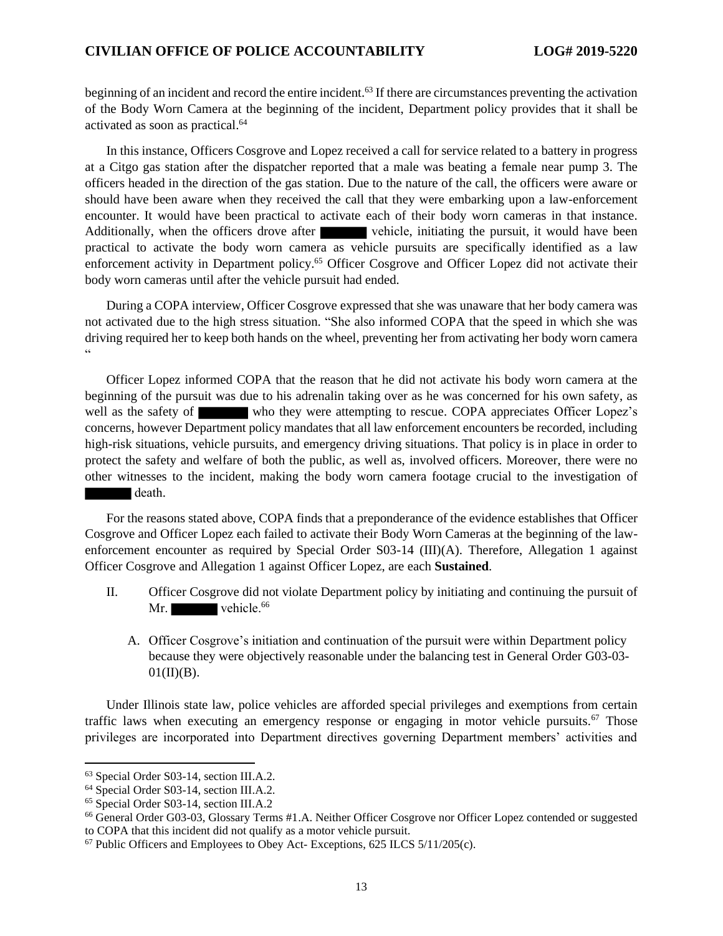beginning of an incident and record the entire incident.<sup>63</sup> If there are circumstances preventing the activation of the Body Worn Camera at the beginning of the incident, Department policy provides that it shall be activated as soon as practical.<sup>64</sup>

In this instance, Officers Cosgrove and Lopez received a call for service related to a battery in progress at a Citgo gas station after the dispatcher reported that a male was beating a female near pump 3. The officers headed in the direction of the gas station. Due to the nature of the call, the officers were aware or should have been aware when they received the call that they were embarking upon a law-enforcement encounter. It would have been practical to activate each of their body worn cameras in that instance. Additionally, when the officers drove after vehicle, initiating the pursuit, it would have been practical to activate the body worn camera as vehicle pursuits are specifically identified as a law enforcement activity in Department policy.<sup>65</sup> Officer Cosgrove and Officer Lopez did not activate their body worn cameras until after the vehicle pursuit had ended.

During a COPA interview, Officer Cosgrove expressed that she was unaware that her body camera was not activated due to the high stress situation. "She also informed COPA that the speed in which she was driving required her to keep both hands on the wheel, preventing her from activating her body worn camera "

Officer Lopez informed COPA that the reason that he did not activate his body worn camera at the beginning of the pursuit was due to his adrenalin taking over as he was concerned for his own safety, as well as the safety of who they were attempting to rescue. COPA appreciates Officer Lopez's concerns, however Department policy mandates that all law enforcement encounters be recorded, including high-risk situations, vehicle pursuits, and emergency driving situations. That policy is in place in order to protect the safety and welfare of both the public, as well as, involved officers. Moreover, there were no other witnesses to the incident, making the body worn camera footage crucial to the investigation of death.

For the reasons stated above, COPA finds that a preponderance of the evidence establishes that Officer Cosgrove and Officer Lopez each failed to activate their Body Worn Cameras at the beginning of the lawenforcement encounter as required by Special Order S03-14 (III)(A). Therefore, Allegation 1 against Officer Cosgrove and Allegation 1 against Officer Lopez, are each **Sustained**.

- II. Officer Cosgrove did not violate Department policy by initiating and continuing the pursuit of Mr. vehicle.<sup>66</sup>
	- A. Officer Cosgrove's initiation and continuation of the pursuit were within Department policy because they were objectively reasonable under the balancing test in General Order G03-03-  $01(II)(B)$ .

Under Illinois state law, police vehicles are afforded special privileges and exemptions from certain traffic laws when executing an emergency response or engaging in motor vehicle pursuits.<sup>67</sup> Those privileges are incorporated into Department directives governing Department members' activities and

<sup>63</sup> Special Order S03-14, section III.A.2.

<sup>64</sup> Special Order S03-14, section III.A.2.

<sup>65</sup> Special Order S03-14, section III.A.2

<sup>66</sup> General Order G03-03, Glossary Terms #1.A. Neither Officer Cosgrove nor Officer Lopez contended or suggested to COPA that this incident did not qualify as a motor vehicle pursuit.

<sup>67</sup> Public Officers and Employees to Obey Act- Exceptions, 625 ILCS 5/11/205(c).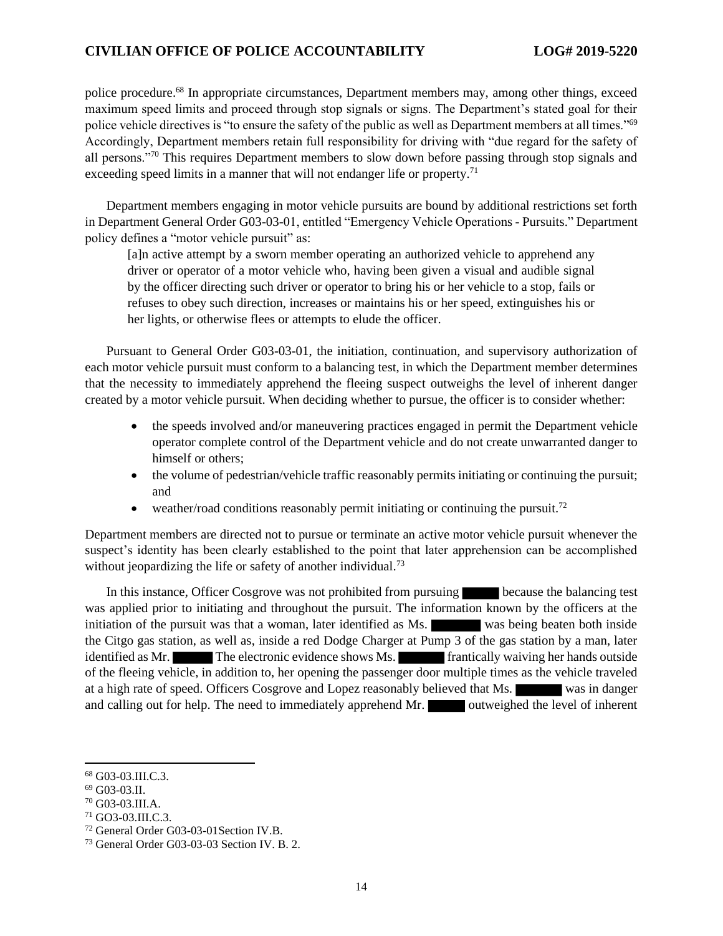police procedure.<sup>68</sup> In appropriate circumstances, Department members may, among other things, exceed maximum speed limits and proceed through stop signals or signs. The Department's stated goal for their police vehicle directives is "to ensure the safety of the public as well as Department members at all times."<sup>69</sup> Accordingly, Department members retain full responsibility for driving with "due regard for the safety of all persons."<sup>70</sup> This requires Department members to slow down before passing through stop signals and exceeding speed limits in a manner that will not endanger life or property.<sup>71</sup>

Department members engaging in motor vehicle pursuits are bound by additional restrictions set forth in Department General Order G03-03-01, entitled "Emergency Vehicle Operations - Pursuits." Department policy defines a "motor vehicle pursuit" as:

[a]n active attempt by a sworn member operating an authorized vehicle to apprehend any driver or operator of a motor vehicle who, having been given a visual and audible signal by the officer directing such driver or operator to bring his or her vehicle to a stop, fails or refuses to obey such direction, increases or maintains his or her speed, extinguishes his or her lights, or otherwise flees or attempts to elude the officer.

Pursuant to General Order G03-03-01, the initiation, continuation, and supervisory authorization of each motor vehicle pursuit must conform to a balancing test, in which the Department member determines that the necessity to immediately apprehend the fleeing suspect outweighs the level of inherent danger created by a motor vehicle pursuit. When deciding whether to pursue, the officer is to consider whether:

- the speeds involved and/or maneuvering practices engaged in permit the Department vehicle operator complete control of the Department vehicle and do not create unwarranted danger to himself or others;
- the volume of pedestrian/vehicle traffic reasonably permits initiating or continuing the pursuit; and
- weather/road conditions reasonably permit initiating or continuing the pursuit.<sup>72</sup>

Department members are directed not to pursue or terminate an active motor vehicle pursuit whenever the suspect's identity has been clearly established to the point that later apprehension can be accomplished without jeopardizing the life or safety of another individual.<sup>73</sup>

In this instance, Officer Cosgrove was not prohibited from pursuing because the balancing test was applied prior to initiating and throughout the pursuit. The information known by the officers at the initiation of the pursuit was that a woman, later identified as Ms. was being beaten both inside the Citgo gas station, as well as, inside a red Dodge Charger at Pump 3 of the gas station by a man, later identified as Mr. The electronic evidence shows Ms. **The frantically waiving her hands outside** of the fleeing vehicle, in addition to, her opening the passenger door multiple times as the vehicle traveled at a high rate of speed. Officers Cosgrove and Lopez reasonably believed that Ms. was in danger and calling out for help. The need to immediately apprehend Mr. **Outweighed the level of inherent** 

<sup>68</sup> G03-03.III.C.3.

<sup>69</sup> G03-03.II.

<sup>70</sup> G03-03.III.A.

<sup>71</sup> GO3-03.III.C.3.

<sup>72</sup> General Order G03-03-01Section IV.B.

<sup>73</sup> General Order G03-03-03 Section IV. B. 2.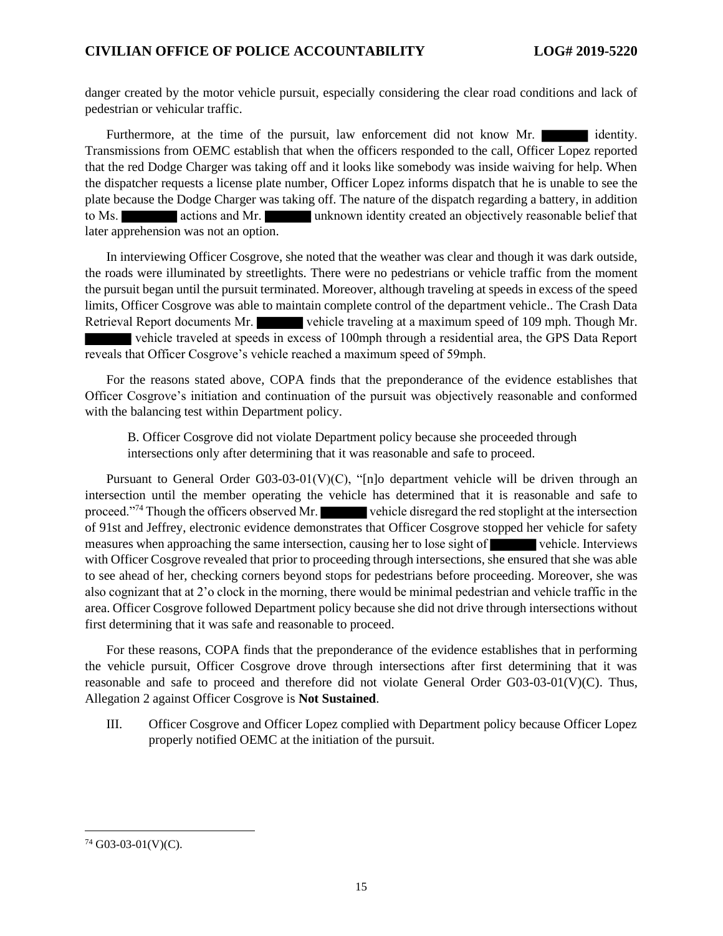danger created by the motor vehicle pursuit, especially considering the clear road conditions and lack of pedestrian or vehicular traffic.

Furthermore, at the time of the pursuit, law enforcement did not know Mr. Transmissions from OEMC establish that when the officers responded to the call, Officer Lopez reported that the red Dodge Charger was taking off and it looks like somebody was inside waiving for help. When the dispatcher requests a license plate number, Officer Lopez informs dispatch that he is unable to see the plate because the Dodge Charger was taking off. The nature of the dispatch regarding a battery, in addition to Ms. **Exercise 2018** actions and Mr. **unknown identity created an objectively reasonable belief that** later apprehension was not an option.

In interviewing Officer Cosgrove, she noted that the weather was clear and though it was dark outside, the roads were illuminated by streetlights. There were no pedestrians or vehicle traffic from the moment the pursuit began until the pursuit terminated. Moreover, although traveling at speeds in excess of the speed limits, Officer Cosgrove was able to maintain complete control of the department vehicle.. The Crash Data Retrieval Report documents Mr. vehicle traveling at a maximum speed of 109 mph. Though Mr. vehicle traveled at speeds in excess of 100mph through a residential area, the GPS Data Report reveals that Officer Cosgrove's vehicle reached a maximum speed of 59mph.

For the reasons stated above, COPA finds that the preponderance of the evidence establishes that Officer Cosgrove's initiation and continuation of the pursuit was objectively reasonable and conformed with the balancing test within Department policy.

B. Officer Cosgrove did not violate Department policy because she proceeded through intersections only after determining that it was reasonable and safe to proceed.

Pursuant to General Order G03-03-01(V)(C), "[n]o department vehicle will be driven through an intersection until the member operating the vehicle has determined that it is reasonable and safe to proceed."<sup>74</sup> Though the officers observed Mr. vehicle disregard the red stoplight at the intersection of 91st and Jeffrey, electronic evidence demonstrates that Officer Cosgrove stopped her vehicle for safety measures when approaching the same intersection, causing her to lose sight of vehicle. Interviews with Officer Cosgrove revealed that prior to proceeding through intersections, she ensured that she was able to see ahead of her, checking corners beyond stops for pedestrians before proceeding. Moreover, she was also cognizant that at 2'o clock in the morning, there would be minimal pedestrian and vehicle traffic in the area. Officer Cosgrove followed Department policy because she did not drive through intersections without first determining that it was safe and reasonable to proceed.

For these reasons, COPA finds that the preponderance of the evidence establishes that in performing the vehicle pursuit, Officer Cosgrove drove through intersections after first determining that it was reasonable and safe to proceed and therefore did not violate General Order G03-03-01(V)(C). Thus, Allegation 2 against Officer Cosgrove is **Not Sustained**.

III. Officer Cosgrove and Officer Lopez complied with Department policy because Officer Lopez properly notified OEMC at the initiation of the pursuit.

 $74$  G03-03-01(V)(C).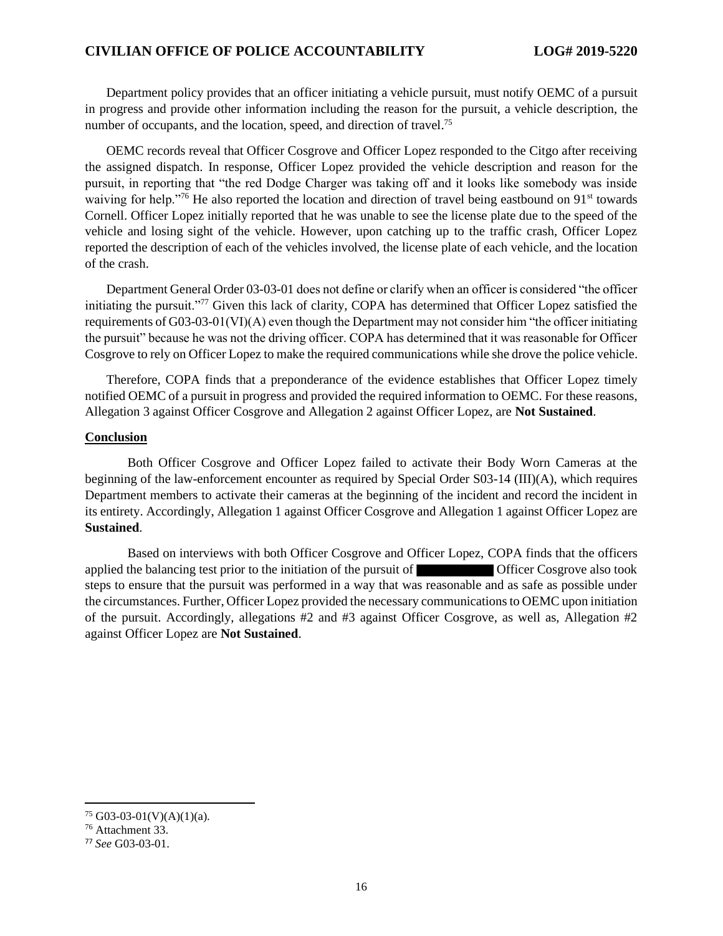Department policy provides that an officer initiating a vehicle pursuit, must notify OEMC of a pursuit in progress and provide other information including the reason for the pursuit, a vehicle description, the number of occupants, and the location, speed, and direction of travel.<sup>75</sup>

OEMC records reveal that Officer Cosgrove and Officer Lopez responded to the Citgo after receiving the assigned dispatch. In response, Officer Lopez provided the vehicle description and reason for the pursuit, in reporting that "the red Dodge Charger was taking off and it looks like somebody was inside waiving for help."<sup>76</sup> He also reported the location and direction of travel being eastbound on 91<sup>st</sup> towards Cornell. Officer Lopez initially reported that he was unable to see the license plate due to the speed of the vehicle and losing sight of the vehicle. However, upon catching up to the traffic crash, Officer Lopez reported the description of each of the vehicles involved, the license plate of each vehicle, and the location of the crash.

Department General Order 03-03-01 does not define or clarify when an officer is considered "the officer initiating the pursuit."<sup>77</sup> Given this lack of clarity, COPA has determined that Officer Lopez satisfied the requirements of G03-03-01(VI)(A) even though the Department may not consider him "the officer initiating the pursuit" because he was not the driving officer. COPA has determined that it was reasonable for Officer Cosgrove to rely on Officer Lopez to make the required communications while she drove the police vehicle.

Therefore, COPA finds that a preponderance of the evidence establishes that Officer Lopez timely notified OEMC of a pursuit in progress and provided the required information to OEMC. For these reasons, Allegation 3 against Officer Cosgrove and Allegation 2 against Officer Lopez, are **Not Sustained**.

#### **Conclusion**

Both Officer Cosgrove and Officer Lopez failed to activate their Body Worn Cameras at the beginning of the law-enforcement encounter as required by Special Order S03-14 (III)(A), which requires Department members to activate their cameras at the beginning of the incident and record the incident in its entirety. Accordingly, Allegation 1 against Officer Cosgrove and Allegation 1 against Officer Lopez are **Sustained**.

Based on interviews with both Officer Cosgrove and Officer Lopez, COPA finds that the officers applied the balancing test prior to the initiation of the pursuit of Officer Cosgrove also took steps to ensure that the pursuit was performed in a way that was reasonable and as safe as possible under the circumstances. Further, Officer Lopez provided the necessary communications to OEMC upon initiation of the pursuit. Accordingly, allegations #2 and #3 against Officer Cosgrove, as well as, Allegation #2 against Officer Lopez are **Not Sustained**.

 $75$  G03-03-01(V)(A)(1)(a).

<sup>76</sup> Attachment 33.

<sup>77</sup> *See* G03-03-01.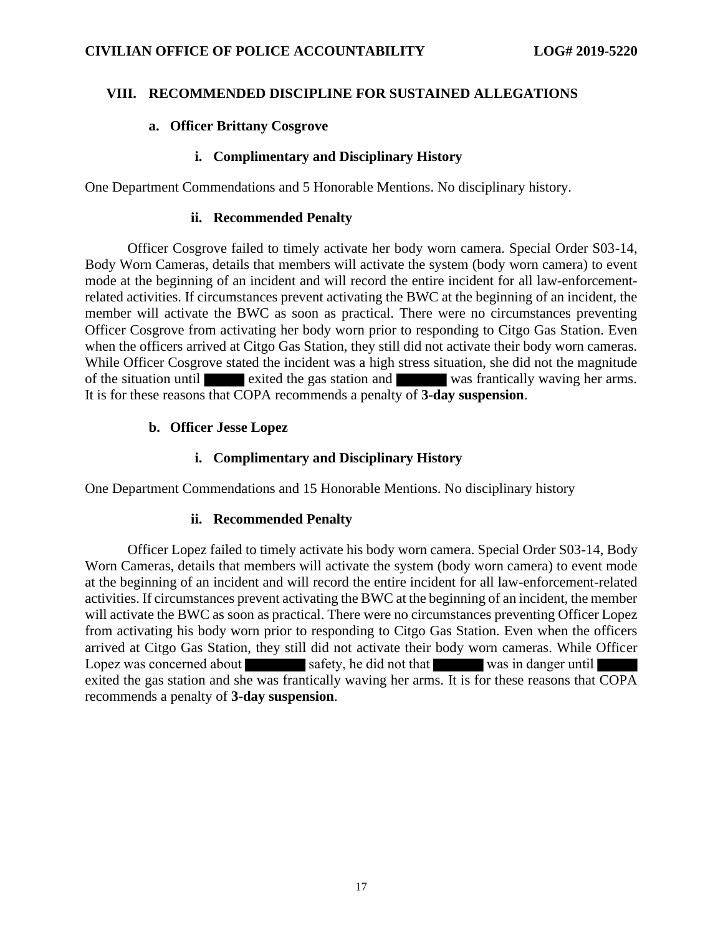## **VIII. RECOMMENDED DISCIPLINE FOR SUSTAINED ALLEGATIONS**

## **a. Officer Brittany Cosgrove**

## **i. Complimentary and Disciplinary History**

One Department Commendations and 5 Honorable Mentions. No disciplinary history.

### **ii. Recommended Penalty**

Officer Cosgrove failed to timely activate her body worn camera. Special Order S03-14, Body Worn Cameras, details that members will activate the system (body worn camera) to event mode at the beginning of an incident and will record the entire incident for all law-enforcementrelated activities. If circumstances prevent activating the BWC at the beginning of an incident, the member will activate the BWC as soon as practical. There were no circumstances preventing Officer Cosgrove from activating her body worn prior to responding to Citgo Gas Station. Even when the officers arrived at Citgo Gas Station, they still did not activate their body worn cameras. While Officer Cosgrove stated the incident was a high stress situation, she did not the magnitude of the situation until exited the gas station and was frantically waving her arms. It is for these reasons that COPA recommends a penalty of **3-day suspension**.

## **b. Officer Jesse Lopez**

## **i. Complimentary and Disciplinary History**

One Department Commendations and 15 Honorable Mentions. No disciplinary history

## **ii. Recommended Penalty**

Officer Lopez failed to timely activate his body worn camera. Special Order S03-14, Body Worn Cameras, details that members will activate the system (body worn camera) to event mode at the beginning of an incident and will record the entire incident for all law-enforcement-related activities. If circumstances prevent activating the BWC at the beginning of an incident, the member will activate the BWC as soon as practical. There were no circumstances preventing Officer Lopez from activating his body worn prior to responding to Citgo Gas Station. Even when the officers arrived at Citgo Gas Station, they still did not activate their body worn cameras. While Officer Lopez was concerned about safety, he did not that was in danger until exited the gas station and she was frantically waving her arms. It is for these reasons that COPA recommends a penalty of **3-day suspension**.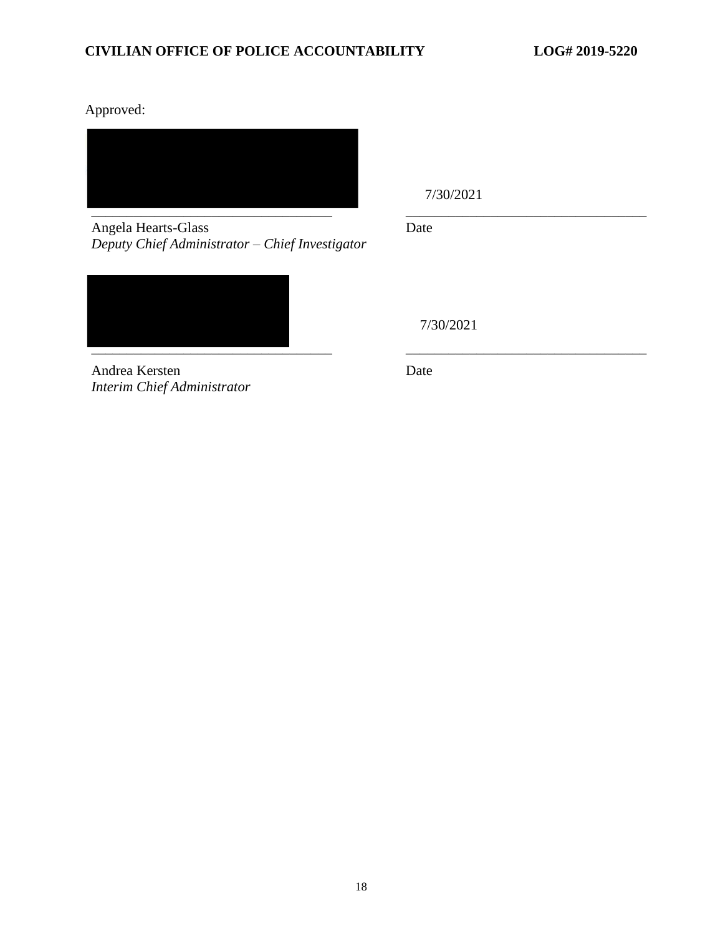Approved:



Angela Hearts-Glass *Deputy Chief Administrator – Chief Investigator*

7/30/2021

Date

7/30/2021

Andrea Kersten *Interim Chief Administrator* Date

\_\_\_\_\_\_\_\_\_\_\_\_\_\_\_\_\_\_\_\_\_\_\_\_\_\_\_\_\_\_\_\_\_\_ \_\_\_\_\_\_\_\_\_\_\_\_\_\_\_\_\_\_\_\_\_\_\_\_\_\_\_\_\_\_\_\_\_\_